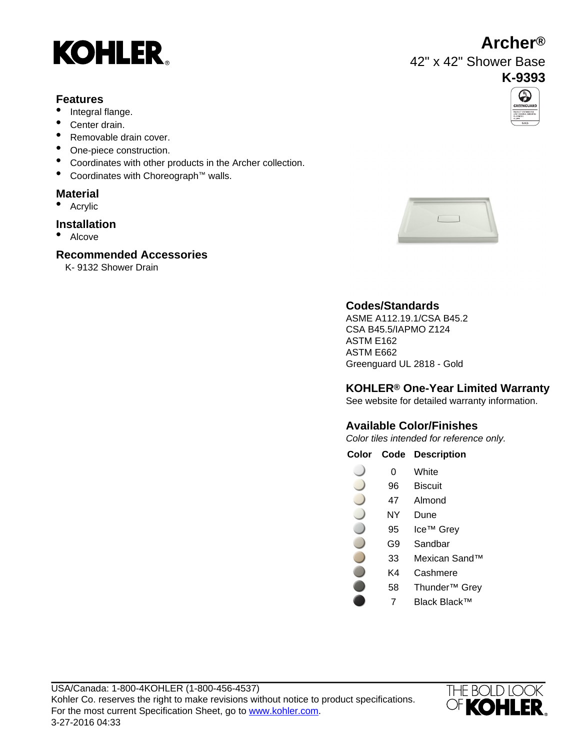# **KOHLER**

#### **Features**

- Integral flange.
- Center drain.
- Removable drain cover.
- One-piece construction.
- Coordinates with other products in the Archer collection.
- Coordinates with Choreograph™ walls.

### **Material**

• Acrylic

#### **Installation**

• Alcove

#### **Recommended Accessories**

K- 9132 Shower Drain



### **Codes/Standards**

ASME A112.19.1/CSA B45.2 CSA B45.5/IAPMO Z124 ASTM E162 ASTM E662 Greenguard UL 2818 - Gold

#### **KOHLER® One-Year Limited Warranty**

See website for detailed warranty information.

#### **Available Color/Finishes**

Color tiles intended for reference only.

#### **Color Code Description**

- 0 White
- 96 Biscuit
- 47 Almond
- NY Dune
- 95 Ice™ Grey
	- G9 Sandbar
	- 33 Mexican Sand™
		- K4 Cashmere
		- 58 Thunder™ Grey
			- 7 Black Black™





42" x 42" Shower Base **K-9393**